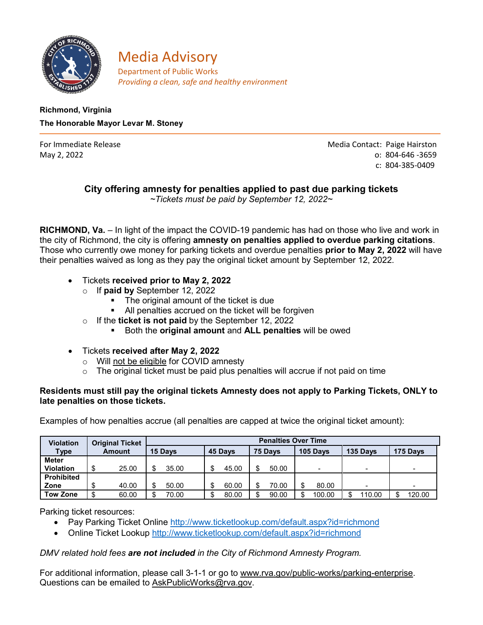

**Media Advisory**<br>**Department of Public Works** *Providing a clean, safe and healthy environment*

## **Richmond, Virginia The Honorable Mayor Levar M. Stoney**

For Immediate Release **Media Contact: Paige Hairston** May 2, 2022 o: 804-646 -3659 c: 804-385-0409

# **City offering amnesty for penalties applied to past due parking tickets**

*~Tickets must be paid by September 12, 2022~*

**RICHMOND, Va.** – In light of the impact the COVID-19 pandemic has had on those who live and work in the city of Richmond, the city is offering **amnesty on penalties applied to overdue parking citations**. Those who currently owe money for parking tickets and overdue penalties **prior to May 2, 2022** will have their penalties waived as long as they pay the original ticket amount by September 12, 2022.

- Tickets **received prior to May 2, 2022**
	- o If **paid by** September 12, 2022
		- **The original amount of the ticket is due**
		- All penalties accrued on the ticket will be forgiven
	- o If the **ticket is not paid** by the September 12, 2022
		- Both the **original amount** and **ALL penalties** will be owed
- Tickets **received after May 2, 2022**
	- $\circ$  Will not be eligible for COVID amnesty  $\circ$  The original ticket must be paid plus pe
	- The original ticket must be paid plus penalties will accrue if not paid on time

#### **Residents must still pay the original tickets Amnesty does not apply to Parking Tickets, ONLY to late penalties on those tickets.**

Examples of how penalties accrue (all penalties are capped at twice the original ticket amount):

| <b>Violation</b>  | <b>Original Ticket</b><br>Amount | <b>Penalties Over Time</b> |         |         |                          |             |          |
|-------------------|----------------------------------|----------------------------|---------|---------|--------------------------|-------------|----------|
| Type              |                                  | 15 Days                    | 45 Days | 75 Davs | 105 Days                 | 135 Days    | 175 Days |
| <b>Meter</b>      |                                  |                            |         |         |                          |             |          |
| <b>Violation</b>  | \$<br>25.00                      | 35.00                      | 45.00   | 50.00   | $\overline{\phantom{a}}$ | -           | $\,$     |
| <b>Prohibited</b> |                                  |                            |         |         |                          |             |          |
| Zone              | 40.00<br>\$                      | 50.00                      | 60.00   | 70.00   | 80.00                    | -           | -        |
| Tow Zone          | 60.00<br>\$                      | 70.00                      | 80.00   | 90.00   | 100.00                   | 10.00<br>\$ | 120.00   |

Parking ticket resources:

- Pay Parking Ticket Online<http://www.ticketlookup.com/default.aspx?id=richmond>
- Online Ticket Lookup<http://www.ticketlookup.com/default.aspx?id=richmond>

### *DMV related hold fees are not included in the City of Richmond Amnesty Program.*

For additional information, please call 3-1-1 or go to [www.rva.gov/public-works/parking-enterprise.](http://www.rva.gov/public-works/parking-enterprise) Questions can be emailed to [AskPublicWorks@rva.gov.](mailto:AskPublicWorks@rva.gov)